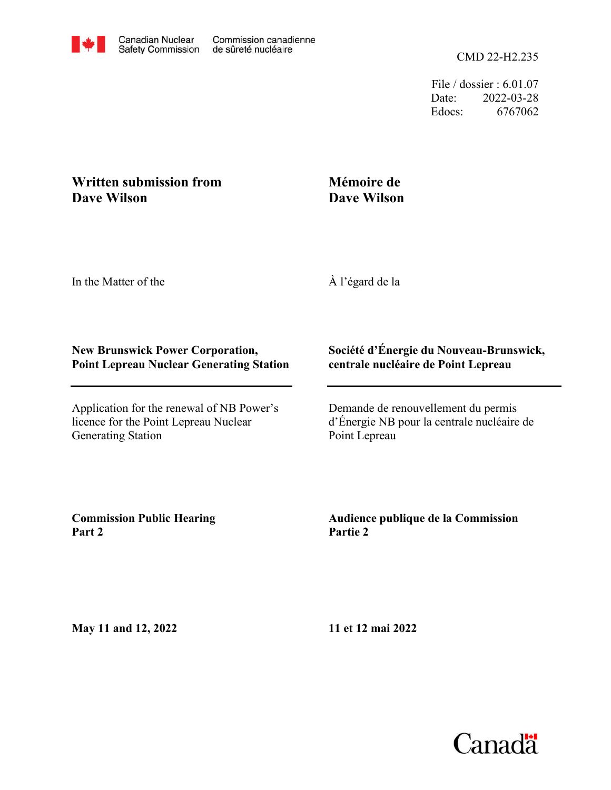File / dossier : 6.01.07 Date: 2022-03-28 Edocs: 6767062

# **Written submission from Dave Wilson**

# **Mémoire de Dave Wilson**

In the Matter of the

À l'égard de la

## **New Brunswick Power Corporation, Point Lepreau Nuclear Generating Station**

Application for the renewal of NB Power's licence for the Point Lepreau Nuclear Generating Station

### **Société d'Énergie du Nouveau-Brunswick, centrale nucléaire de Point Lepreau**

Demande de renouvellement du permis d'Énergie NB pour la centrale nucléaire de Point Lepreau

**Commission Public Hearing Part 2**

## **Audience publique de la Commission Partie 2**

**May 11 and 12, 2022**

**11 et 12 mai 2022**

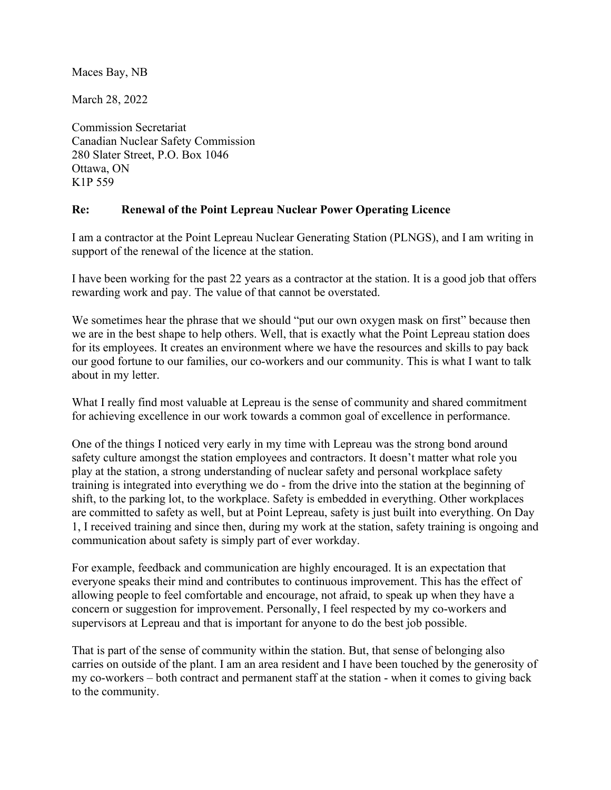Maces Bay, NB

March 28, 2022

K1P 559 Ottawa, ON 280 Slater Street, P.O. Box 1046 Canadian Nuclear Safety Commission Commission Secretariat

#### **Re: Renewal of the Point Lepreau Nuclear Power Operating Licence**

support of the renewal of the licence at the station. I am a contractor at the Point Lepreau Nuclear Generating Station (PLNGS), and I am writing in

rewarding work and pay. The value of that cannot be overstated. I have been working for the past 22 years as a contractor at the station. It is a good job that offers

about in my letter. our good fortune to our families, our co-workers and our community. This is what I want to talk for its employees. It creates an environment where we have the resources and skills to pay back we are in the best shape to help others. Well, that is exactly what the Point Lepreau station does We sometimes hear the phrase that we should "put our own oxygen mask on first" because then

for achieving excellence in our work towards a common goal of excellence in performance. What I really find most valuable at Lepreau is the sense of community and shared commitment

communication about safety is simply part of ever workday. 1, I received training and since then, during my work at the station, safety training is ongoing and are committed to safety as well, but at Point Lepreau, safety is just built into everything. On Day shift, to the parking lot, to the workplace. Safety is embedded in everything. Other workplaces training is integrated into everything we do - from the drive into the station at the beginning of play at the station, a strong understanding of nuclear safety and personal workplace safety safety culture amongst the station employees and contractors. It doesn't matter what role you One of the things I noticed very early in my time with Lepreau was the strong bond around

supervisors at Lepreau and that is important for anyone to do the best job possible. concern or suggestion for improvement. Personally, I feel respected by my co-workers and allowing people to feel comfortable and encourage, not afraid, to speak up when they have a everyone speaks their mind and contributes to continuous improvement. This has the effect of For example, feedback and communication are highly encouraged. It is an expectation that

to the community. my co-workers – both contract and permanent staff at the station - when it comes to giving back carries on outside of the plant. I am an area resident and I have been touched by the generosity of That is part of the sense of community within the station. But, that sense of belonging also